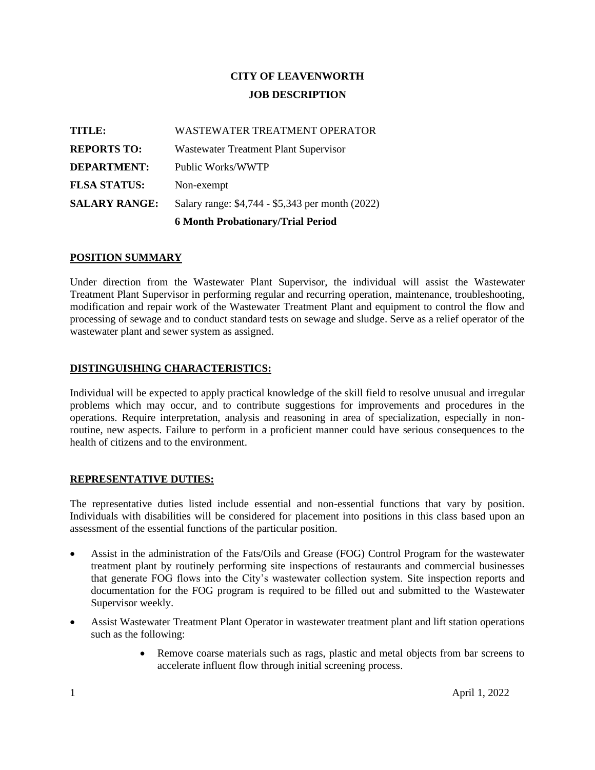# **CITY OF LEAVENWORTH JOB DESCRIPTION**

|                      | <b>6 Month Probationary/Trial Period</b>         |
|----------------------|--------------------------------------------------|
| <b>SALARY RANGE:</b> | Salary range: \$4,744 - \$5,343 per month (2022) |
| <b>FLSA STATUS:</b>  | Non-exempt                                       |
| <b>DEPARTMENT:</b>   | Public Works/WWTP                                |
| <b>REPORTS TO:</b>   | Wastewater Treatment Plant Supervisor            |
| TITLE:               | WASTEWATER TREATMENT OPERATOR                    |

#### **POSITION SUMMARY**

Under direction from the Wastewater Plant Supervisor, the individual will assist the Wastewater Treatment Plant Supervisor in performing regular and recurring operation, maintenance, troubleshooting, modification and repair work of the Wastewater Treatment Plant and equipment to control the flow and processing of sewage and to conduct standard tests on sewage and sludge. Serve as a relief operator of the wastewater plant and sewer system as assigned.

#### **DISTINGUISHING CHARACTERISTICS:**

Individual will be expected to apply practical knowledge of the skill field to resolve unusual and irregular problems which may occur, and to contribute suggestions for improvements and procedures in the operations. Require interpretation, analysis and reasoning in area of specialization, especially in nonroutine, new aspects. Failure to perform in a proficient manner could have serious consequences to the health of citizens and to the environment.

#### **REPRESENTATIVE DUTIES:**

The representative duties listed include essential and non-essential functions that vary by position. Individuals with disabilities will be considered for placement into positions in this class based upon an assessment of the essential functions of the particular position.

- Assist in the administration of the Fats/Oils and Grease (FOG) Control Program for the wastewater treatment plant by routinely performing site inspections of restaurants and commercial businesses that generate FOG flows into the City's wastewater collection system. Site inspection reports and documentation for the FOG program is required to be filled out and submitted to the Wastewater Supervisor weekly.
- Assist Wastewater Treatment Plant Operator in wastewater treatment plant and lift station operations such as the following:
	- Remove coarse materials such as rags, plastic and metal objects from bar screens to accelerate influent flow through initial screening process.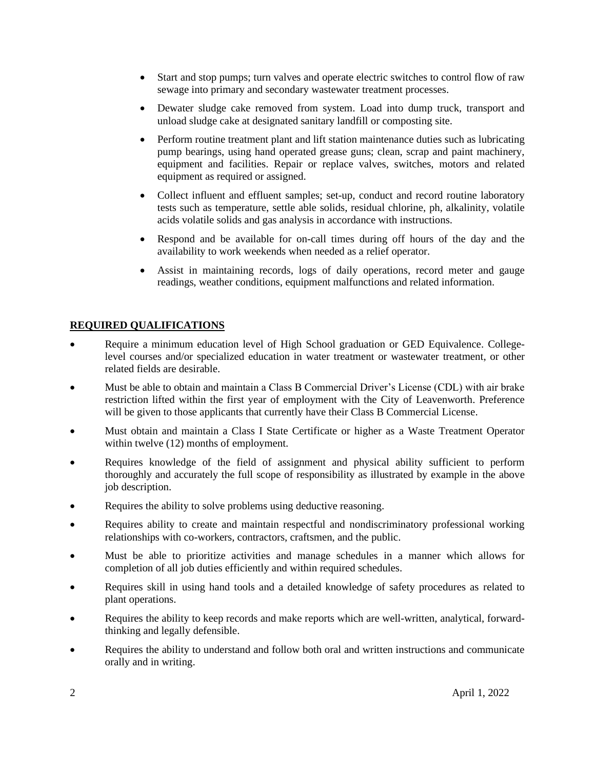- Start and stop pumps; turn valves and operate electric switches to control flow of raw sewage into primary and secondary wastewater treatment processes.
- Dewater sludge cake removed from system. Load into dump truck, transport and unload sludge cake at designated sanitary landfill or composting site.
- Perform routine treatment plant and lift station maintenance duties such as lubricating pump bearings, using hand operated grease guns; clean, scrap and paint machinery, equipment and facilities. Repair or replace valves, switches, motors and related equipment as required or assigned.
- Collect influent and effluent samples; set-up, conduct and record routine laboratory tests such as temperature, settle able solids, residual chlorine, ph, alkalinity, volatile acids volatile solids and gas analysis in accordance with instructions.
- Respond and be available for on-call times during off hours of the day and the availability to work weekends when needed as a relief operator.
- Assist in maintaining records, logs of daily operations, record meter and gauge readings, weather conditions, equipment malfunctions and related information.

#### **REQUIRED QUALIFICATIONS**

- Require a minimum education level of High School graduation or GED Equivalence. Collegelevel courses and/or specialized education in water treatment or wastewater treatment, or other related fields are desirable.
- Must be able to obtain and maintain a Class B Commercial Driver's License (CDL) with air brake restriction lifted within the first year of employment with the City of Leavenworth. Preference will be given to those applicants that currently have their Class B Commercial License.
- Must obtain and maintain a Class I State Certificate or higher as a Waste Treatment Operator within twelve (12) months of employment.
- Requires knowledge of the field of assignment and physical ability sufficient to perform thoroughly and accurately the full scope of responsibility as illustrated by example in the above job description.
- Requires the ability to solve problems using deductive reasoning.
- Requires ability to create and maintain respectful and nondiscriminatory professional working relationships with co-workers, contractors, craftsmen, and the public.
- Must be able to prioritize activities and manage schedules in a manner which allows for completion of all job duties efficiently and within required schedules.
- Requires skill in using hand tools and a detailed knowledge of safety procedures as related to plant operations.
- Requires the ability to keep records and make reports which are well-written, analytical, forwardthinking and legally defensible.
- Requires the ability to understand and follow both oral and written instructions and communicate orally and in writing.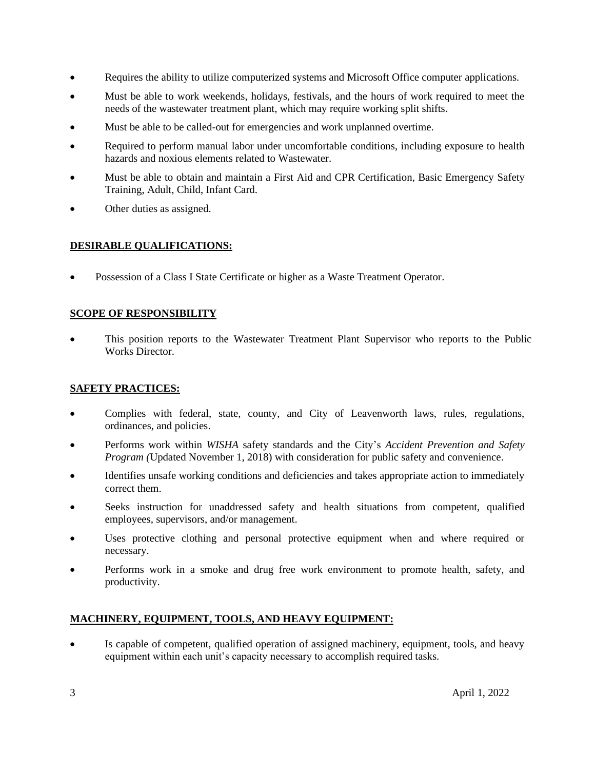- Requires the ability to utilize computerized systems and Microsoft Office computer applications.
- Must be able to work weekends, holidays, festivals, and the hours of work required to meet the needs of the wastewater treatment plant, which may require working split shifts.
- Must be able to be called-out for emergencies and work unplanned overtime.
- Required to perform manual labor under uncomfortable conditions, including exposure to health hazards and noxious elements related to Wastewater.
- Must be able to obtain and maintain a First Aid and CPR Certification, Basic Emergency Safety Training, Adult, Child, Infant Card.
- Other duties as assigned.

# **DESIRABLE QUALIFICATIONS:**

• Possession of a Class I State Certificate or higher as a Waste Treatment Operator.

# **SCOPE OF RESPONSIBILITY**

• This position reports to the Wastewater Treatment Plant Supervisor who reports to the Public Works Director.

# **SAFETY PRACTICES:**

- Complies with federal, state, county, and City of Leavenworth laws, rules, regulations, ordinances, and policies.
- Performs work within *WISHA* safety standards and the City's *Accident Prevention and Safety Program (*Updated November 1, 2018) with consideration for public safety and convenience.
- Identifies unsafe working conditions and deficiencies and takes appropriate action to immediately correct them.
- Seeks instruction for unaddressed safety and health situations from competent, qualified employees, supervisors, and/or management.
- Uses protective clothing and personal protective equipment when and where required or necessary.
- Performs work in a smoke and drug free work environment to promote health, safety, and productivity.

# **MACHINERY, EQUIPMENT, TOOLS, AND HEAVY EQUIPMENT:**

Is capable of competent, qualified operation of assigned machinery, equipment, tools, and heavy equipment within each unit's capacity necessary to accomplish required tasks.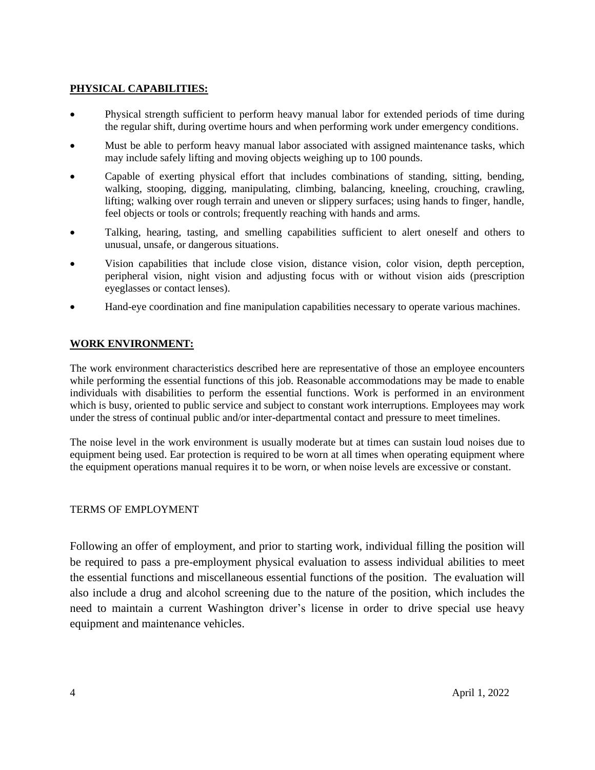### **PHYSICAL CAPABILITIES:**

- Physical strength sufficient to perform heavy manual labor for extended periods of time during the regular shift, during overtime hours and when performing work under emergency conditions.
- Must be able to perform heavy manual labor associated with assigned maintenance tasks, which may include safely lifting and moving objects weighing up to 100 pounds.
- Capable of exerting physical effort that includes combinations of standing, sitting, bending, walking, stooping, digging, manipulating, climbing, balancing, kneeling, crouching, crawling, lifting; walking over rough terrain and uneven or slippery surfaces; using hands to finger, handle, feel objects or tools or controls; frequently reaching with hands and arms.
- Talking, hearing, tasting, and smelling capabilities sufficient to alert oneself and others to unusual, unsafe, or dangerous situations.
- Vision capabilities that include close vision, distance vision, color vision, depth perception, peripheral vision, night vision and adjusting focus with or without vision aids (prescription eyeglasses or contact lenses).
- Hand-eye coordination and fine manipulation capabilities necessary to operate various machines.

#### **WORK ENVIRONMENT:**

The work environment characteristics described here are representative of those an employee encounters while performing the essential functions of this job. Reasonable accommodations may be made to enable individuals with disabilities to perform the essential functions. Work is performed in an environment which is busy, oriented to public service and subject to constant work interruptions. Employees may work under the stress of continual public and/or inter-departmental contact and pressure to meet timelines.

The noise level in the work environment is usually moderate but at times can sustain loud noises due to equipment being used. Ear protection is required to be worn at all times when operating equipment where the equipment operations manual requires it to be worn, or when noise levels are excessive or constant.

#### TERMS OF EMPLOYMENT

Following an offer of employment, and prior to starting work, individual filling the position will be required to pass a pre-employment physical evaluation to assess individual abilities to meet the essential functions and miscellaneous essential functions of the position. The evaluation will also include a drug and alcohol screening due to the nature of the position, which includes the need to maintain a current Washington driver's license in order to drive special use heavy equipment and maintenance vehicles.